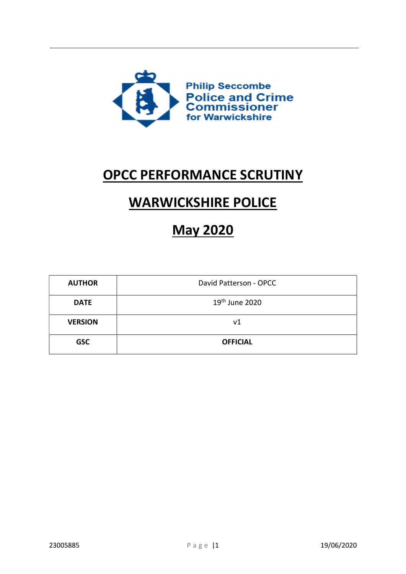

## OPCC PERFORMANCE SCRUTINY

# WARWICKSHIRE POLICE

# May 2020

| <b>AUTHOR</b>  | David Patterson - OPCC     |
|----------------|----------------------------|
| <b>DATE</b>    | 19 <sup>th</sup> June 2020 |
| <b>VERSION</b> | ν1                         |
| <b>GSC</b>     | <b>OFFICIAL</b>            |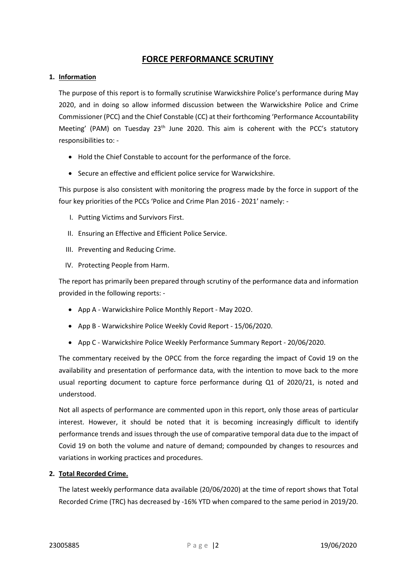## FORCE PERFORMANCE SCRUTINY

#### 1. Information

The purpose of this report is to formally scrutinise Warwickshire Police's performance during May 2020, and in doing so allow informed discussion between the Warwickshire Police and Crime Commissioner (PCC) and the Chief Constable (CC) at their forthcoming 'Performance Accountability Meeting' (PAM) on Tuesday 23<sup>th</sup> June 2020. This aim is coherent with the PCC's statutory responsibilities to: -

- Hold the Chief Constable to account for the performance of the force.
- Secure an effective and efficient police service for Warwickshire.

This purpose is also consistent with monitoring the progress made by the force in support of the four key priorities of the PCCs 'Police and Crime Plan 2016 - 2021' namely: -

- I. Putting Victims and Survivors First.
- II. Ensuring an Effective and Efficient Police Service.
- III. Preventing and Reducing Crime.
- IV. Protecting People from Harm.

The report has primarily been prepared through scrutiny of the performance data and information provided in the following reports: -

- App A Warwickshire Police Monthly Report May 202O.
- App B Warwickshire Police Weekly Covid Report 15/06/2020.
- App C Warwickshire Police Weekly Performance Summary Report 20/06/2020.

The commentary received by the OPCC from the force regarding the impact of Covid 19 on the availability and presentation of performance data, with the intention to move back to the more usual reporting document to capture force performance during Q1 of 2020/21, is noted and understood.

Not all aspects of performance are commented upon in this report, only those areas of particular interest. However, it should be noted that it is becoming increasingly difficult to identify performance trends and issues through the use of comparative temporal data due to the impact of Covid 19 on both the volume and nature of demand; compounded by changes to resources and variations in working practices and procedures.

#### 2. Total Recorded Crime.

The latest weekly performance data available (20/06/2020) at the time of report shows that Total Recorded Crime (TRC) has decreased by -16% YTD when compared to the same period in 2019/20.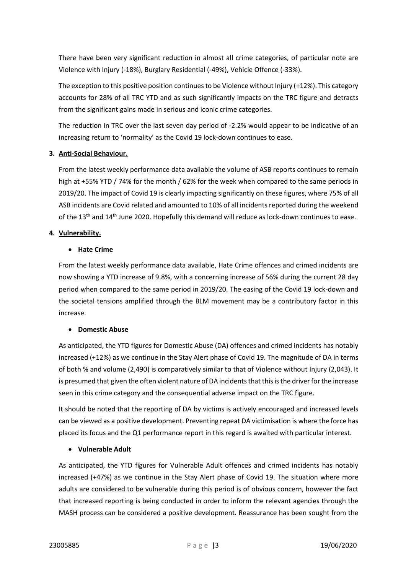There have been very significant reduction in almost all crime categories, of particular note are Violence with Injury (-18%), Burglary Residential (-49%), Vehicle Offence (-33%).

The exception to this positive position continues to be Violence without Injury (+12%). This category accounts for 28% of all TRC YTD and as such significantly impacts on the TRC figure and detracts from the significant gains made in serious and iconic crime categories.

The reduction in TRC over the last seven day period of -2.2% would appear to be indicative of an increasing return to 'normality' as the Covid 19 lock-down continues to ease.

## 3. Anti-Social Behaviour.

From the latest weekly performance data available the volume of ASB reports continues to remain high at +55% YTD / 74% for the month / 62% for the week when compared to the same periods in 2019/20. The impact of Covid 19 is clearly impacting significantly on these figures, where 75% of all ASB incidents are Covid related and amounted to 10% of all incidents reported during the weekend of the 13<sup>th</sup> and 14<sup>th</sup> June 2020. Hopefully this demand will reduce as lock-down continues to ease.

## 4. Vulnerability.

## Hate Crime

From the latest weekly performance data available, Hate Crime offences and crimed incidents are now showing a YTD increase of 9.8%, with a concerning increase of 56% during the current 28 day period when compared to the same period in 2019/20. The easing of the Covid 19 lock-down and the societal tensions amplified through the BLM movement may be a contributory factor in this increase.

## Domestic Abuse

As anticipated, the YTD figures for Domestic Abuse (DA) offences and crimed incidents has notably increased (+12%) as we continue in the Stay Alert phase of Covid 19. The magnitude of DA in terms of both % and volume (2,490) is comparatively similar to that of Violence without Injury (2,043). It is presumed that given the often violent nature of DA incidents that this is the driver for the increase seen in this crime category and the consequential adverse impact on the TRC figure.

It should be noted that the reporting of DA by victims is actively encouraged and increased levels can be viewed as a positive development. Preventing repeat DA victimisation is where the force has placed its focus and the Q1 performance report in this regard is awaited with particular interest.

## Vulnerable Adult

As anticipated, the YTD figures for Vulnerable Adult offences and crimed incidents has notably increased (+47%) as we continue in the Stay Alert phase of Covid 19. The situation where more adults are considered to be vulnerable during this period is of obvious concern, however the fact that increased reporting is being conducted in order to inform the relevant agencies through the MASH process can be considered a positive development. Reassurance has been sought from the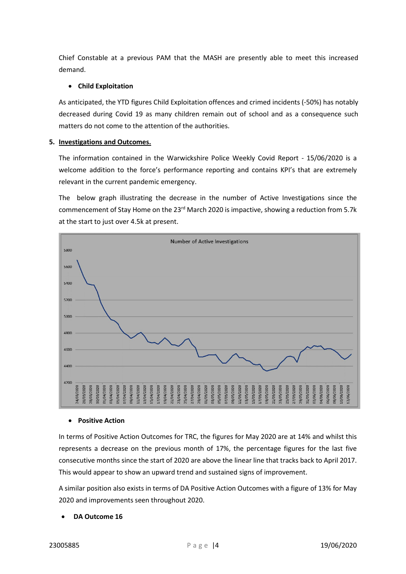Chief Constable at a previous PAM that the MASH are presently able to meet this increased demand.

#### Child Exploitation

As anticipated, the YTD figures Child Exploitation offences and crimed incidents (-50%) has notably decreased during Covid 19 as many children remain out of school and as a consequence such matters do not come to the attention of the authorities.

#### 5. Investigations and Outcomes.

The information contained in the Warwickshire Police Weekly Covid Report - 15/06/2020 is a welcome addition to the force's performance reporting and contains KPI's that are extremely relevant in the current pandemic emergency.

The below graph illustrating the decrease in the number of Active Investigations since the commencement of Stay Home on the 23<sup>rd</sup> March 2020 is impactive, showing a reduction from 5.7k at the start to just over 4.5k at present.



#### • Positive Action

In terms of Positive Action Outcomes for TRC, the figures for May 2020 are at 14% and whilst this represents a decrease on the previous month of 17%, the percentage figures for the last five consecutive months since the start of 2020 are above the linear line that tracks back to April 2017. This would appear to show an upward trend and sustained signs of improvement.

A similar position also exists in terms of DA Positive Action Outcomes with a figure of 13% for May 2020 and improvements seen throughout 2020.

#### DA Outcome 16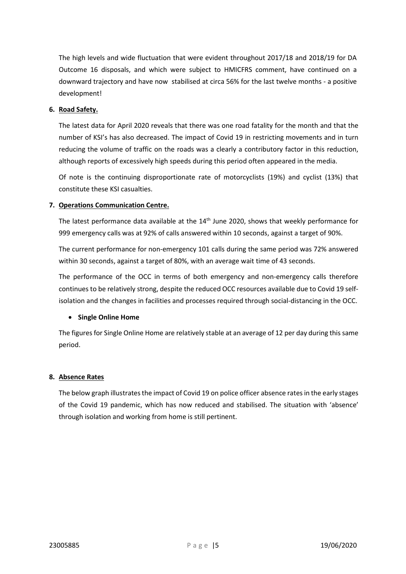The high levels and wide fluctuation that were evident throughout 2017/18 and 2018/19 for DA Outcome 16 disposals, and which were subject to HMICFRS comment, have continued on a downward trajectory and have now stabilised at circa 56% for the last twelve months - a positive development!

#### 6. Road Safety.

The latest data for April 2020 reveals that there was one road fatality for the month and that the number of KSI's has also decreased. The impact of Covid 19 in restricting movements and in turn reducing the volume of traffic on the roads was a clearly a contributory factor in this reduction, although reports of excessively high speeds during this period often appeared in the media.

Of note is the continuing disproportionate rate of motorcyclists (19%) and cyclist (13%) that constitute these KSI casualties.

#### 7. Operations Communication Centre.

The latest performance data available at the 14<sup>th</sup> June 2020, shows that weekly performance for 999 emergency calls was at 92% of calls answered within 10 seconds, against a target of 90%.

The current performance for non-emergency 101 calls during the same period was 72% answered within 30 seconds, against a target of 80%, with an average wait time of 43 seconds.

The performance of the OCC in terms of both emergency and non-emergency calls therefore continues to be relatively strong, despite the reduced OCC resources available due to Covid 19 selfisolation and the changes in facilities and processes required through social-distancing in the OCC.

#### • Single Online Home

The figures for Single Online Home are relatively stable at an average of 12 per day during this same period.

#### 8. Absence Rates

The below graph illustrates the impact of Covid 19 on police officer absence rates in the early stages of the Covid 19 pandemic, which has now reduced and stabilised. The situation with 'absence' through isolation and working from home is still pertinent.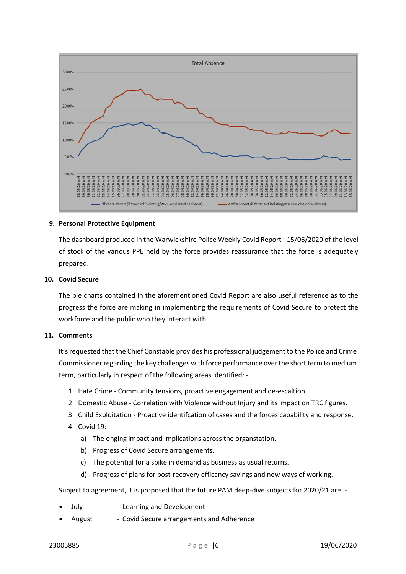

#### 9. Personal Protective Equipment

The dashboard produced in the Warwickshire Police Weekly Covid Report - 15/06/2020 of the level of stock of the various PPE held by the force provides reassurance that the force is adequately prepared.

#### 10. Covid Secure

The pie charts contained in the aforementioned Covid Report are also useful reference as to the progress the force are making in implementing the requirements of Covid Secure to protect the workforce and the public who they interact with.

#### 11. Comments

It's requested that the Chief Constable provides his professional judgement to the Police and Crime Commissioner regarding the key challenges with force performance over the short term to medium term, particularly in respect of the following areas identified: -

- 1. Hate Crime Community tensions, proactive engagement and de-escaltion.
- 2. Domestic Abuse Correlation with Violence without Injury and its impact on TRC figures.
- 3. Child Exploitation Proactive identifcation of cases and the forces capability and response.
- 4. Covid 19:
	- a) The onging impact and implications across the organstation.
	- b) Progress of Covid Secure arrangements.
	- c) The potential for a spike in demand as business as usual returns.
	- d) Progress of plans for post-recovery efficancy savings and new ways of working.

Subject to agreement, it is proposed that the future PAM deep-dive subjects for 2020/21 are: -

- July Learning and Development
- August Covid Secure arrangements and Adherence